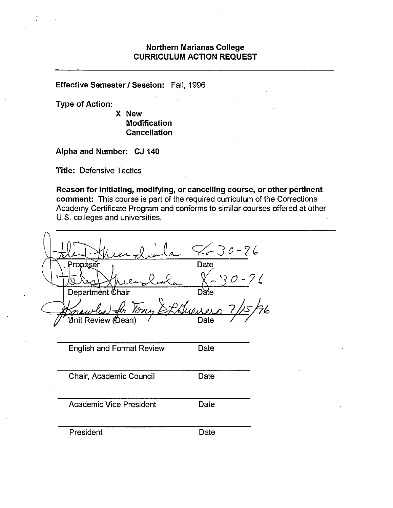#### **Northern Marianas College CURRICULUM ACTION REQUEST**

**Effective Semester/ Session:** Fall, 1996

**Type of Action:** 

**X New Modification Cancellation** 

**Alpha and Number: CJ 140** 

**Title:** Defensive Tactics

**Reason for initiating, modifying, or cancelling course, or other pertinent comment:** This course is part of the required curriculum of the Corrections Academy Certificate Program and conforms to similar courses offered at other U.S. colleges and universities.

|                                  | $220 - 96$        |
|----------------------------------|-------------------|
| Propager                         | Date<br>$30 - 96$ |
| Department Chair                 | Date              |
| Ton                              | .<br>76           |
| ປ່nit Review (∕Dean)             | Date              |
|                                  |                   |
| <b>English and Format Review</b> | Date              |
|                                  |                   |
| Chair, Academic Council          | Date              |
|                                  |                   |
| <b>Academic Vice President</b>   | Date              |
|                                  |                   |
| President                        | Date              |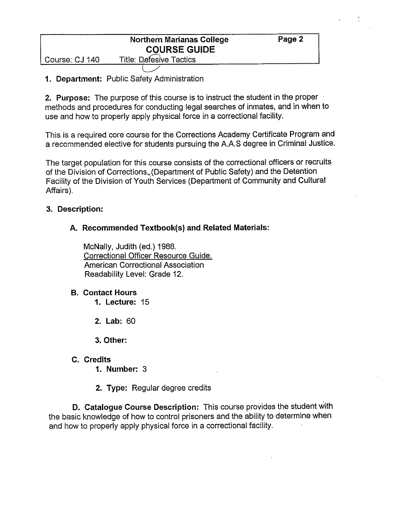## **Northern Marianas College Case Page 2 COURSE GUIDE**

Course: CJ 140 Title: Defesive Tactics

 $\subset$ 

# **1. Department:** Public Safety Administration

**2. Purpose:** The purpose of this course is to instruct the student in the proper methods and procedures for conducting legal searches of inmates, and in when to use and how to properly apply physical force in a correctional facility.

This is a required core course for the Corrections Academy Certificate Program and a recommended elective for students pursuing the A.AS degree in Criminal Justice.

The target population for this course consists of the correctional officers or recruits of the Division of Corrections<sub>«</sub>(Department of Public Safety) and the Detention Facility of the Division of Youth Services (Department of Community and Cultural Affairs).

## **3. Description:**

# **A. Recommended Textbook(s) and Related Materials:**

McNally, Judith (ed.) 1988. Correctional Officer Resource Guide. American Correctional Association Readability Level: Grade 12.

### **B. Contact Hours**

**1. Lecture:** 15

**2. Lab:** 60

**3. Other:** 

## **C. Credits**

**1. Number:** 3

**2. Type:** Regular degree credits

**D. Catalogue Course Description:** This course provides the student with the basic knowledge of how to control prisoners and the ability to determine when and how to properly apply physical force in a correctional facility.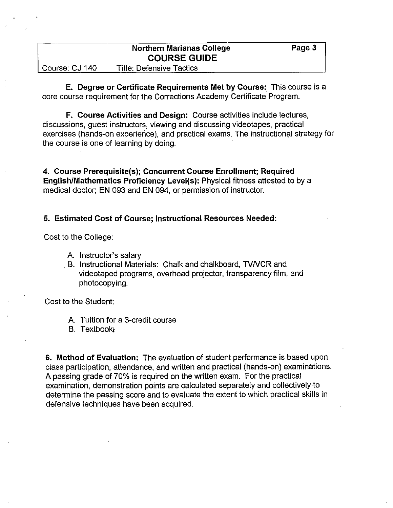|                | <b>Northern Marianas College</b> | Page 3 |
|----------------|----------------------------------|--------|
|                | <b>COURSE GUIDE</b>              |        |
| Course: CJ 140 | <b>Title: Defensive Tactics</b>  |        |

**E. Degree or Certificate Requirements Met by Course:** This course is a core course requirement for the Corrections Academy Certificate Program.

**F. Course Activities and Design:** Course activities include lectures, discussions, guest instructors, viewing and discussing videotapes, practical exercises (hands-on experience), and practical exams. The instructional strategy for the course is one of learning by doing.

**4. Course Prerequisite(s); Concurrent Course Enrollment; Required English/Mathematics Proficiency Levei(s):** Physical fitness attested to by a medical doctor; **EN** 093 and **EN** 094, or permission of instructor.

#### **5. Estimated Cost of Course; Instructional Resources Needed:**

Cost to the College:

- A. Instructor's salary
- . B. Instructional Materials: Chalk and chalkboard, TVNCR and videotaped programs, overhead projector, transparency film, and photocopying.

Cost to the Student:

- A. Tuition for a 3-credit course
- B. Textbookt

**6. Method of Evaluation:** The evaluation of student performance is based upon class participation, attendance, and written and practical (hands-on) examinations. A passing grade of 70% is required on the written exam. For the practical examination, demonstration points are calculated separately and collectively to determine the passing score and to evaluate the extent to which practical skills in defensive techniques have been acquired.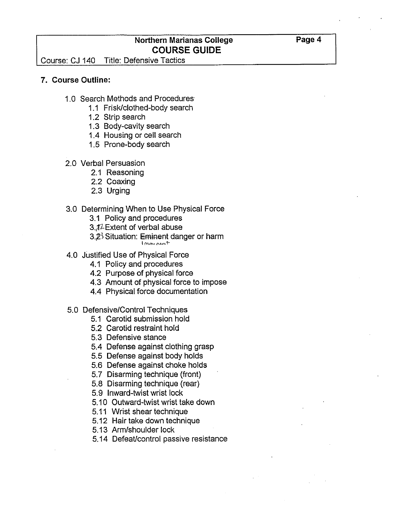### **Northern Marianas College COURSE GUIDE**

Course: CJ 140 Title: Defensive Tactics

#### **7. Course Outline:**

- 1.0 Search Methods and Procedures
	- 1.1 Frisk/clothed-body search
	- 1.2 Strip search
	- 1.3 Body-cavity search
	- 1.4 Housing or cell search
	- 1.5 Prone-body search
- 2.0 Verbal Persuasion
	- 2.1 Reasoning
	- 2.2 Coaxing
	- 2.3 Urging

#### 3.0 Determining When to Use Physical Force

- 3.1 Policy and procedures
- 3.,f2.Extent of verbal abuse
- $3.2<sup>3</sup>$  Situation: Eminent danger or harm

I mini pent

- 4.0 Justified Use of Physical Force
	- 4.1 Policy and procedures
	- 4.2 Purpose of physical force
	- 4.3 Amount of physical force to impose
	- 4.4 Physical force documentation
- 5.0 Defensive/Control Techniques
	- 5.1 Carotid submission hold
	- 5.2 Carotid restraint hold
	- 5.3 Defensive stance
	- 5.4 Defense against clothing grasp
	- 5.5 Defense against body holds
	- 5.6 Defense against choke holds
	- 5.7 Disarming technique (front)
	- 5.8 Disarming technique (rear)
	- 5.9 Inward-twist wrist lock
	- 5.10 Outward-twist wrist take down
	- 5.11 Wrist shear technique
	- 5.12 Hair take down technique
	- 5.13 Arm/shoulder lock
	- 5.14 Defeat/control passive resistance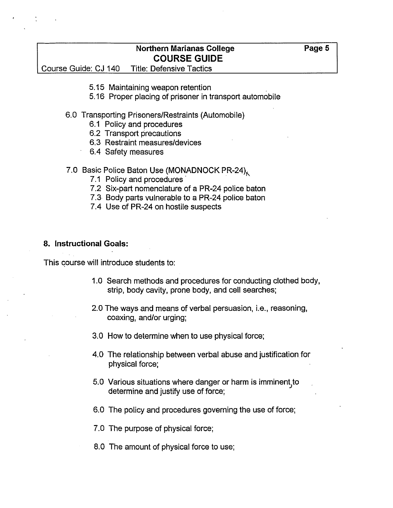### **Northern Marianas College Case College Array Page 5 COURSE GUIDE**

Course Guide: CJ 140 Title: Defensive Tactics

- 5.15 Maintaining weapon retention
- 5.16 Proper placing of prisoner in transport automobile
- 6.0 Transporting Prisoners/Restraints (Automobile)
	- 6.1 Policy and procedures
	- 6.2 Transport precautions
	- 6.3 Restraint measures/devices
	- 6.4 Safety measures
- 7.0 Basic Police Baton Use (MONADNOCK PR-24)
	- 7.1 Policy and procedures
	- 7.2 Six-part nomenclature of a PR-24 police baton
	- 7.3 Body parts vulnerable to a PR-24 police baton
	- 7.4 Use of PR-24 on hostile suspects

#### **8. Instructional Goals:**

This course will introduce students to:

- 1.0 Search methods and procedures for conducting clothed body, strip, body cavity, prone body, and cell searches;
- 2.0 The ways and means of verbal persuasion, i.e., reasoning, coaxing, and/or urging;
- 3.0 How to determine when to use physical force;
- 4.0 The relationship between verbal abuse and justification for physical force;
- 5.0 Various situations where danger or harm is imminent to determine and justify use of.force;
- 6.0 The policy and procedures governing the use of force;
- 7.0 The purpose of physical force;
- 8.0 The amount of physical force to use;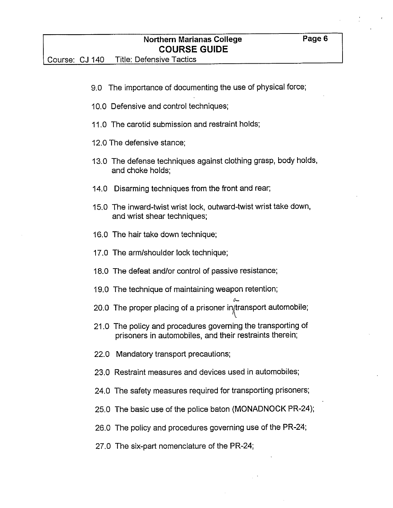- 10.0 Defensive and control techniques;
- 11.0 The carotid submission and restraint holds;
- 12.0 The defensive stance;
- 13.0 The defense techniques against clothing grasp, body holds, and choke holds;
- 14.0 Disarming techniques from the front and rear;
- 15.0 The inward-twist wrist lock, outward-twist wrist take down, and wrist shear techniques;
- 16.0 The hair take down technique;
- 17.0 The arm/shoulder lock technique;
- 18.0 The defeat and/or control of passive resistance;
- 19.0 The technique of maintaining weapon retention;
- 20.0 The proper placing of a prisoner in transport automobile;

 $\sim$ 

- 21.0 The policy and procedures governing the transporting of prisoners in automobiles, and their restraints therein;
- 22.0 Mandatory transport precautions;
- 23.0 Restraint measures and devices used in automobiles;
- 24.0 The safety measures required for transporting prisoners;
- 25.0 The basic use of the police baton (MONADNOCK PR-24);
- 26.0 The policy and procedures governing use of the PR-24;
- 27.0 The six-part nomenclature of the PR-24;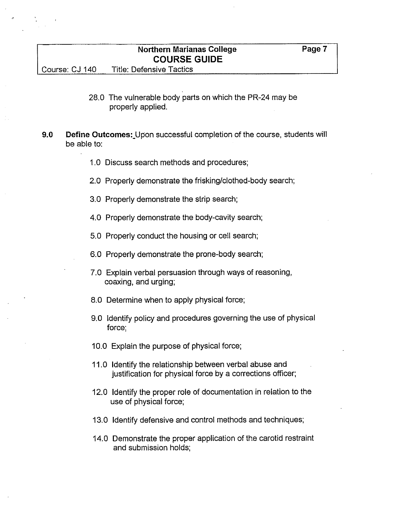### **Northern Marianas College Canadian Rage 7 COURSE GUIDE**

Course: CJ 140 Title: Defensive Tactics

- 28.0 The vulnerable body parts on which the PR-24 may be properly applied.
- **9.0 Define Outcomes:** Upon successful completion of the course, students will be able to:
	- 1.0 Discuss search methods and procedures;
	- 2.0 Properly demonstrate the frisking/clothed-body search;
	- 3.0 Properly demonstrate the strip search;
	- 4.0 Properly demonstrate the body-cavity search;
	- 5.0 Properly conduct the housing or cell search;
	- 6.0 Properly demonstrate the prone-body search;
	- 7.0 Explain verbal persuasion through ways of reasoning, coaxing, and urging;
	- 8.0 Determine when to apply physical force;
	- 9.0 Identify policy and procedures governing the use of physical force;
	- 10.0 Explain the purpose of physical force;
	- 11.0 Identify the relationship between verbal abuse and justification for physical force by a corrections officer;
	- 12.0 Identify the proper role of documentation in relation to the use of physical force;
	- 13.0 Identify defensive and control methods and techniques;
	- 14.0 Demonstrate the proper application of the carotid restraint and submission holds;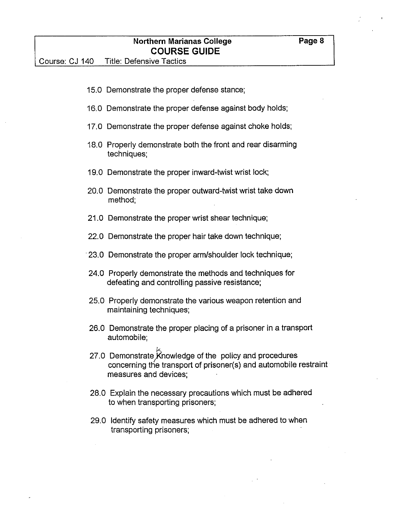|                | <b>Northern Marianas College</b><br><b>COURSE GUIDE</b>                                                                                              | Page 8 |
|----------------|------------------------------------------------------------------------------------------------------------------------------------------------------|--------|
| Course: CJ 140 | <b>Title: Defensive Tactics</b>                                                                                                                      |        |
|                |                                                                                                                                                      |        |
|                | 15.0 Demonstrate the proper defense stance;                                                                                                          |        |
|                | 16.0 Demonstrate the proper defense against body holds;                                                                                              |        |
|                | 17.0 Demonstrate the proper defense against choke holds;                                                                                             |        |
|                | 18.0 Properly demonstrate both the front and rear disarming<br>techniques;                                                                           |        |
|                | 19.0 Demonstrate the proper inward-twist wrist lock;                                                                                                 |        |
|                | 20.0 Demonstrate the proper outward-twist wrist take down<br>method;                                                                                 |        |
|                | 21.0 Demonstrate the proper wrist shear technique;                                                                                                   |        |
|                | 22.0 Demonstrate the proper hair take down technique;                                                                                                |        |
|                | 23.0 Demonstrate the proper arm/shoulder lock technique;                                                                                             |        |
|                | 24.0 Properly demonstrate the methods and techniques for<br>defeating and controlling passive resistance;                                            |        |
|                | 25.0 Properly demonstrate the various weapon retention and<br>maintaining techniques;                                                                |        |
|                | 26.0 Demonstrate the proper placing of a prisoner in a transport<br>automobile;                                                                      |        |
|                | 27.0 Demonstrate Knowledge of the policy and procedures<br>concerning the transport of prisoner(s) and automobile restraint<br>measures and devices; |        |
|                | 28.0 Explain the necessary precautions which must be adhered<br>to when transporting prisoners;                                                      |        |
|                | 29.0 Identify safety measures which must be adhered to when<br>transporting prisoners;                                                               |        |
|                |                                                                                                                                                      |        |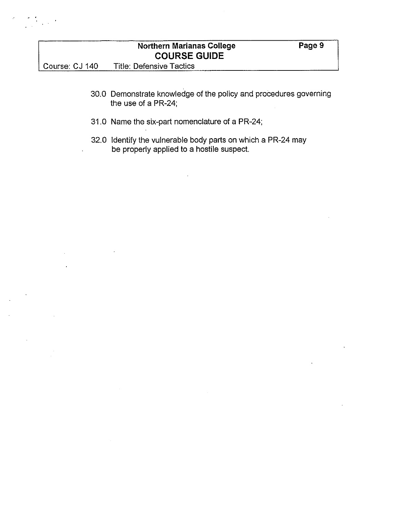

- 30.0 Demonstrate knowledge of the policy and procedures governing the use of a PR-24;
- 31.0 Name the six-part nomenclature of a PR-24;
- 32.0 Identify the vulnerable body parts on which a PR-24 may be properly applied to a hostile suspect.